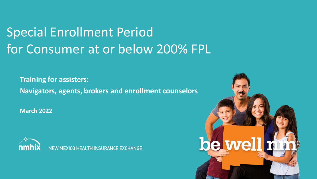# Special Enrollment Period for Consumer at or below 200% FPL

**Training for assisters: Navigators, agents, brokers and enrollment counselors**

**March 2022**



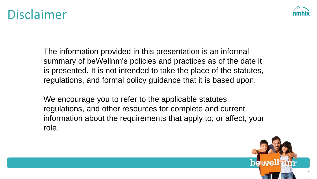### Disclaimer



The information provided in this presentation is an informal summary of beWellnm's policies and practices as of the date it is presented. It is not intended to take the place of the statutes, regulations, and formal policy guidance that it is based upon.

We encourage you to refer to the applicable statutes, regulations, and other resources for complete and current information about the requirements that apply to, or affect, your role.

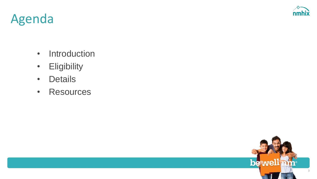

## Agenda

- Introduction
- Eligibility
- Details
- Resources

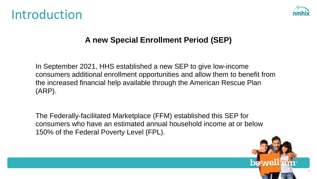### Introduction



#### **A new Special Enrollment Period (SEP)**

In September 2021, HHS established a new SEP to give low-income consumers additional enrollment opportunities and allow them to benefit from the increased financial help available through the American Rescue Plan (ARP).

The Federally-facilitated Marketplace (FFM) established this SEP for consumers who have an estimated annual household income at or below 150% of the Federal Poverty Level (FPL).

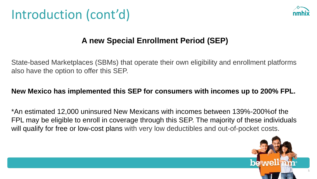



#### **A new Special Enrollment Period (SEP)**

State-based Marketplaces (SBMs) that operate their own eligibility and enrollment platforms also have the option to offer this SEP.

#### **New Mexico has implemented this SEP for consumers with incomes up to 200% FPL.**

\*An estimated 12,000 uninsured New Mexicans with incomes between 139%-200%of the FPL may be eligible to enroll in coverage through this SEP. The majority of these individuals will qualify for free or low-cost plans with very low deductibles and out-of-pocket costs.

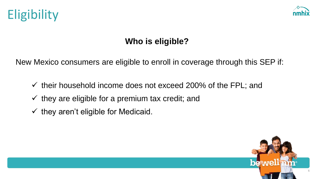



### **Who is eligible?**

New Mexico consumers are eligible to enroll in coverage through this SEP if:

- $\checkmark$  their household income does not exceed 200% of the FPL; and
- $\checkmark$  they are eligible for a premium tax credit; and
- $\checkmark$  they aren't eligible for Medicaid.

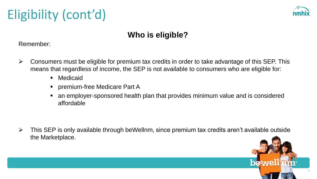# Eligibility (cont'd)



### **Who is eligible?**

Remember:

- $\triangleright$  Consumers must be eligible for premium tax credits in order to take advantage of this SEP. This means that regardless of income, the SEP is not available to consumers who are eligible for:
	- Medicaid
	- **premium-free Medicare Part A**
	- an employer-sponsored health plan that provides minimum value and is considered affordable

➢ This SEP is only available through beWellnm, since premium tax credits aren't available outside the Marketplace.

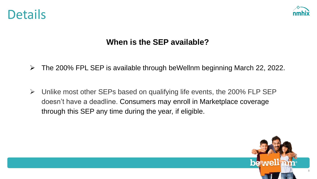



### **When is the SEP available?**

- ➢ The 200% FPL SEP is available through beWellnm beginning March 22, 2022.
- $\triangleright$  Unlike most other SEPs based on qualifying life events, the 200% FLP SEP doesn't have a deadline. Consumers may enroll in Marketplace coverage through this SEP any time during the year, if eligible.

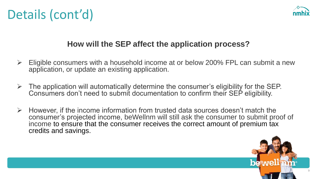

### **How will the SEP affect the application process?**

- $\triangleright$  Eligible consumers with a household income at or below 200% FPL can submit a new application, or update an existing application.
- $\triangleright$  The application will automatically determine the consumer's eligibility for the SEP. Consumers don't need to submit documentation to confirm their SEP eligibility.
- ➢ However, if the income information from trusted data sources doesn't match the consumer's projected income, beWellnm will still ask the consumer to submit proof of income to ensure that the consumer receives the correct amount of premium tax credits and savings.

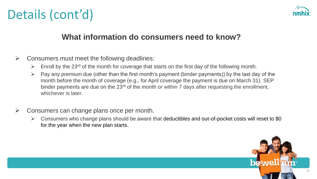

#### **What information do consumers need to know?**

- $\triangleright$  Consumers must meet the following deadlines:
	- $\triangleright$  Enroll by the 23<sup>rd</sup> of the month for coverage that starts on the first day of the following month.
	- $\triangleright$  Pay any premium due (other than the first month's payment (binder payments)) by the last day of the month before the month of coverage (e.g., for April coverage the payment is due on March 31). SEP binder payments are due on the 23<sup>rd</sup> of the month or within 7 days after requesting the enrollment, whichever is later.
- $\triangleright$  Consumers can change plans once per month.
	- $\triangleright$  Consumers who change plans should be aware that deductibles and out-of-pocket costs will reset to \$0 for the year when the new plan starts.

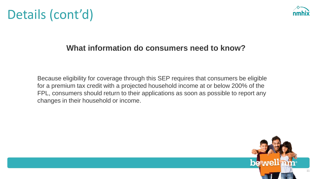

#### **What information do consumers need to know?**

Because eligibility for coverage through this SEP requires that consumers be eligible for a premium tax credit with a projected household income at or below 200% of the FPL, consumers should return to their applications as soon as possible to report any changes in their household or income.

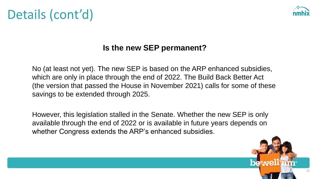

### **Is the new SEP permanent?**

No (at least not yet). The new SEP is based on the ARP enhanced subsidies, which are only in place through the end of 2022. The Build Back Better Act (the version that passed the House in November 2021) calls for some of these savings to be extended through 2025.

However, this legislation stalled in the Senate. Whether the new SEP is only available through the end of 2022 or is available in future years depends on whether Congress extends the ARP's enhanced subsidies.